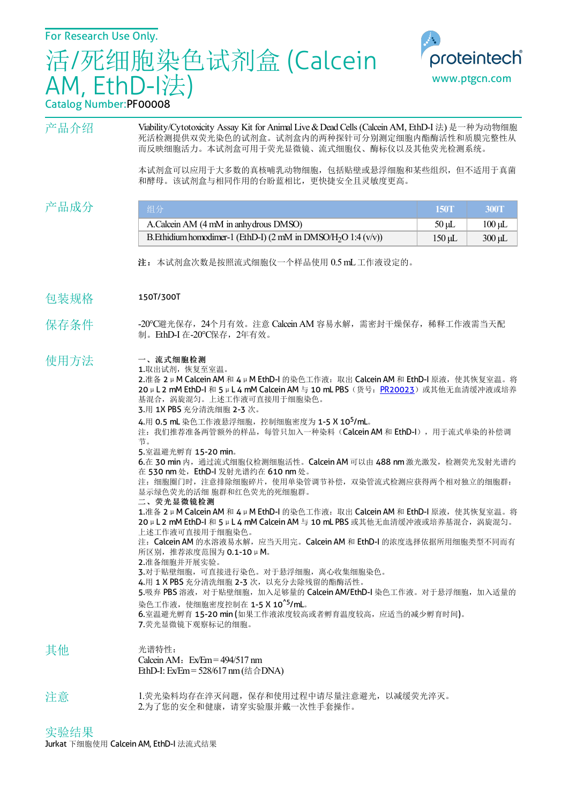活/死细胞染色试剂盒 (Calcein AM, EthD-I法)



## Catalog Number:PF00008

产品介绍 Viability/Cytotoxicity Assay Kit for Animal Live & Dead Cells (Calcein AM, EthD-I 法) 是一种为动物细胞 死活检测提供双荧光染色的试剂盒。试剂盒内的两种探针可分别测定细胞内酯酶活性和质膜完整性从 而反映细胞活力。本试剂盒可用于荧光显微镜、流式细胞仪、酶标仪以及其他荧光检测系统。

> 本试剂盒可以应用于大多数的真核哺乳动物细胞,包括贴壁或悬浮细胞和某些组织,但不适用于真菌 和酵母。该试剂盒与相同作用的台盼蓝相比,更快捷安全且灵敏度更高。

| 产品成分 | 组分                                                                               | <b>150T</b> | <b>300T</b> |
|------|----------------------------------------------------------------------------------|-------------|-------------|
|      | A.Calcein AM (4 mM in anhydrous DMSO)                                            | $50 \mu L$  | $100 \mu L$ |
|      | B. Ethidium homodimer-1 (EthD-I) $(2 \text{ mM in DMSO/H}_2O 1:4 \text{ (v/v)})$ | 150 uL      | $300 \mu L$ |

- 注:本试剂盒次数是按照流式细胞仪一个样品使用 0.5mL工作液设定的。
- 包装规格 150T/300T
- 保存条件 -20℃避光保存,24个月有效。注意 Calcein AM 容易水解,需密封干燥保存,稀释工作液需当天配 **制。EthD-I 在-20℃保存, 2年有效。**

## 使用方法 一、流式细胞检测

1.取出试剂,恢复至室温。

2.准备 2μM Calcein AM 和 4μM EthD-I 的染色工作液:取出 Calcein AM 和 EthD-I 原液,使其恢复室温。将 20μL 2 mM EthD-I 和 5 μL 4 mM Calcein AM 与 10 mL PBS (货号: [PR20023](http://www.ptgcn.com/products/PBS-PR20023.htm))或其他无血清缓冲液或培养 基混合,涡旋混匀。上述工作液可直接用于细胞染色。

3.用 1X PBS 充分清洗细胞 2-3 次。

4.用 0.5 mL 染色工作液悬浮细胞,控制细胞密度为 1-5 X 10<sup>5</sup>/mL。

注: 我们推荐准备两管额外的样品,每管只加入一种染料(Calcein AM 和 EthD-I), 用于流式单染的补偿调 节。

5.室温避光孵育 15-20 min。

6.在 30 min 内,通过流式细胞仪检测细胞活性。Calcein AM 可以由 488 nm 激光激发,检测荧光发射光谱约 在 530 nm 处, EthD-I 发射光谱约在 610 nm 处。

注: 细胞圈门时,注意排除细胞碎片,使用单染管调节补偿, 双染管流式检测应获得两个相对独立的细胞群: 显示绿色荧光的活细 胞群和红色荧光的死细胞群。

二、荧光显微镜检测

1.准备 2μM Calcein AM 和 4μM EthD-I 的染色工作液:取出 Calcein AM 和 EthD-I 原液,使其恢复室温。将 20μL 2 mM EthD-I 和 5μL 4 mM Calcein AM 与 10 mL PBS 或其他无血清缓冲液或培养基混合, 涡旋混匀。 上述工作液可直接用于细胞染色。 注: Calcein AM 的水溶液易水解,应当天用完。Calcein AM 和 EthD-I 的浓度选择依据所用细胞类型不同而有

所区别,推荐浓度范围为 0.1-10μM。

2.准备细胞并开展实验。

3.对于贴壁细胞,可直接进行染色。对于悬浮细胞,离心收集细胞染色。

4.用 1 X PBS 充分清洗细胞 2-3 次,以充分去除残留的酯酶活性。

5.吸弃 PBS 溶液,对于贴壁细胞,加入足够量的 Calcein AM/EthD-I 染色工作液。对于悬浮细胞,加入适量的 染色工作液,使细胞密度控制在 1-5 X 10<sup>^5</sup>/mL。

6.室温避光孵育 15-20 min (如果工作液浓度较高或者孵育温度较高,应适当的减少孵育时间)。 7.荧光显微镜下观察标记的细胞。

- 其他 光谱特性: Calcein AM:  $Ex/Em = 494/517$  nm
	- EthD-I: Ex/Em= 528/617 nm(结合DNA)
- 注意 1.荧光染料均存在淬灭问题,保存和使用过程中请尽量注意避光,以减缓荧光淬灭。 2.为了您的安全和健康,请穿实验服并戴一次性手套操作。

实验结果 Jurkat 下细胞使用 Calcein AM, EthD-I 法流式结果